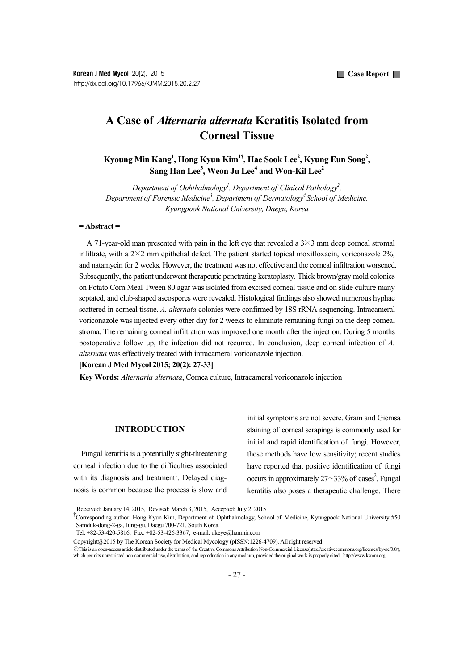# **A Case of** *Alternaria alternata* **Keratitis Isolated from Corneal Tissue**

**Kyoung Min Kang1 , Hong Kyun Kim1†, Hae Sook Lee2 , Kyung Eun Song2 ,**   $\boldsymbol{\mathrm{Sang}}$  Han Lee<sup>3</sup>, Weon Ju Lee<sup>4</sup> and Won-Kil Lee<sup>2</sup>

*Department of Ophthalmology<sup>1</sup>, Department of Clinical Pathology<sup>2</sup>, Department of Forensic Medicine3 , Department of Dermatology4 School of Medicine, Kyungpook National University, Daegu, Korea* 

### **= Abstract =**

A 71-year-old man presented with pain in the left eye that revealed a  $3\times3$  mm deep corneal stromal infiltrate, with a  $2\times2$  mm epithelial defect. The patient started topical moxifloxacin, voriconazole  $2\%$ , and natamycin for 2 weeks. However, the treatment was not effective and the corneal infiltration worsened. Subsequently, the patient underwent therapeutic penetrating keratoplasty. Thick brown/gray mold colonies on Potato Corn Meal Tween 80 agar was isolated from excised corneal tissue and on slide culture many septated, and club-shaped ascospores were revealed. Histological findings also showed numerous hyphae scattered in corneal tissue. *A. alternata* colonies were confirmed by 18S rRNA sequencing. Intracameral voriconazole was injected every other day for 2 weeks to eliminate remaining fungi on the deep corneal stroma. The remaining corneal infiltration was improved one month after the injection. During 5 months postoperative follow up, the infection did not recurred. In conclusion, deep corneal infection of *A. alternata* was effectively treated with intracameral voriconazole injection.

**[Korean J Med Mycol 2015; 20(2): 27-33]** 

**Key Words:** *Alternaria alternata*, Cornea culture, Intracameral voriconazole injection

## **INTRODUCTION**

Fungal keratitis is a potentially sight-threatening corneal infection due to the difficulties associated with its diagnosis and treatment<sup>1</sup>. Delayed diagnosis is common because the process is slow and initial symptoms are not severe. Gram and Giemsa staining of corneal scrapings is commonly used for initial and rapid identification of fungi. However, these methods have low sensitivity; recent studies have reported that positive identification of fungi occurs in approximately  $27 \sim 33\%$  of cases<sup>2</sup>. Fungal keratitis also poses a therapeutic challenge. There

Received: January 14, 2015, Revised: March 3, 2015, Accepted: July 2, 2015 †

Corresponding author: Hong Kyun Kim, Department of Ophthalmology, School of Medicine, Kyungpook National University #50 Samduk-dong-2-ga, Jung-gu, Daegu 700-721, South Korea.

Tel: +82-53-420-5816, Fax: +82-53-426-3367, e-mail: okeye@hanmir.com

Copyright@2015 by The Korean Society for Medical Mycology (pISSN:1226-4709). All right reserved.

<sup>○</sup>cc This is an open-access article distributed under the terms of the Creative Commons Attribution Non-Commercial License(http://creativecommons.org/licenses/by-nc/3.0/), which permits unrestricted non-commercial use, distribution, and reproduction in any medium, provided the original work is properly cited. http://www.ksmm.org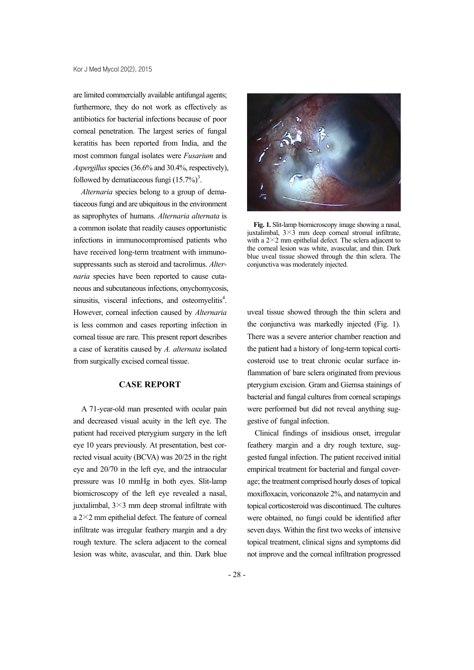are limited commercially available antifungal agents; furthermore, they do not work as effectively as antibiotics for bacterial infections because of poor corneal penetration. The largest series of fungal keratitis has been reported from India, and the most common fungal isolates were *Fusarium* and *Aspergillus* species (36.6% and 30.4%, respectively), followed by dematiaceous fungi  $(15.7\%)^3$ .

*Alternaria* species belong to a group of dematiaceous fungi and are ubiquitous in the environment as saprophytes of humans. *Alternaria alternata* is a common isolate that readily causes opportunistic infections in immunocompromised patients who have received long-term treatment with immunosuppressants such as steroid and tacrolimus. *Alternaria* species have been reported to cause cutaneous and subcutaneous infections, onychomycosis, sinusitis, visceral infections, and osteomyelitis<sup>4</sup>. However, corneal infection caused by *Alternaria* is less common and cases reporting infection in corneal tissue are rare. This present report describes a case of keratitis caused by *A. alternata* isolated from surgically excised corneal tissue.

# **CASE REPORT**

A 71-year-old man presented with ocular pain and decreased visual acuity in the left eye. The patient had received pterygium surgery in the left eye 10 years previously. At presentation, best corrected visual acuity (BCVA) was 20/25 in the right eye and 20/70 in the left eye, and the intraocular pressure was 10 mmHg in both eyes. Slit-lamp biomicroscopy of the left eye revealed a nasal, juxtalimbal, 3×3 mm deep stromal infiltrate with a 2×2 mm epithelial defect. The feature of corneal infiltrate was irregular feathery margin and a dry rough texture. The sclera adjacent to the corneal lesion was white, avascular, and thin. Dark blue



**Fig. 1.** Slit-lamp biomicroscopy image showing a nasal, juxtalimbal,  $3\times3$  mm deep corneal stromal infiltrate, with a  $2\times 2$  mm epithelial defect. The sclera adjacent to the corneal lesion was white, avascular, and thin. Dark blue uveal tissue showed through the thin sclera. The conjunctiva was moderately injected.

uveal tissue showed through the thin sclera and the conjunctiva was markedly injected (Fig. 1). There was a severe anterior chamber reaction and the patient had a history of long-term topical corticosteroid use to treat chronic ocular surface inflammation of bare sclera originated from previous pterygium excision. Gram and Giemsa stainings of bacterial and fungal cultures from corneal scrapings were performed but did not reveal anything suggestive of fungal infection.

Clinical findings of insidious onset, irregular feathery margin and a dry rough texture, suggested fungal infection. The patient received initial empirical treatment for bacterial and fungal coverage; the treatment comprised hourly doses of topical moxifloxacin, voriconazole 2%, and natamycin and topical corticosteroid was discontinued. The cultures were obtained, no fungi could be identified after seven days. Within the first two weeks of intensive topical treatment, clinical signs and symptoms did not improve and the corneal infiltration progressed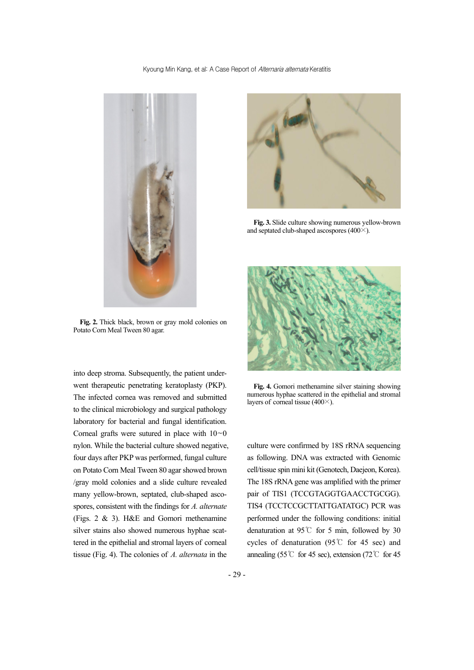#### Kyoung Min Kang, et al: A Case Report of Alternaria alternata Keratitis



**Fig. 2.** Thick black, brown or gray mold colonies on Potato Corn Meal Tween 80 agar.

into deep stroma. Subsequently, the patient underwent therapeutic penetrating keratoplasty (PKP). The infected cornea was removed and submitted to the clinical microbiology and surgical pathology laboratory for bacterial and fungal identification. Corneal grafts were sutured in place with  $10~0$ nylon. While the bacterial culture showed negative, four days after PKP was performed, fungal culture on Potato Corn Meal Tween 80 agar showed brown /gray mold colonies and a slide culture revealed many yellow-brown, septated, club-shaped ascospores, consistent with the findings for *A. alternate* (Figs. 2 & 3). H&E and Gomori methenamine silver stains also showed numerous hyphae scattered in the epithelial and stromal layers of corneal tissue (Fig. 4). The colonies of *A. alternata* in the



**Fig. 3.** Slide culture showing numerous yellow-brown and septated club-shaped ascospores (400×).



**Fig. 4.** Gomori methenamine silver staining showing numerous hyphae scattered in the epithelial and stromal layers of corneal tissue (400×).

culture were confirmed by 18S rRNA sequencing as following. DNA was extracted with Genomic cell/tissue spin mini kit (Genotech, Daejeon, Korea). The 18S rRNA gene was amplified with the primer pair of TIS1 (TCCGTAGGTGAACCTGCGG). TIS4 (TCCTCCGCTTATTGATATGC) PCR was performed under the following conditions: initial denaturation at 95℃ for 5 min, followed by 30 cycles of denaturation (95℃ for 45 sec) and annealing (55℃ for 45 sec), extension (72℃ for 45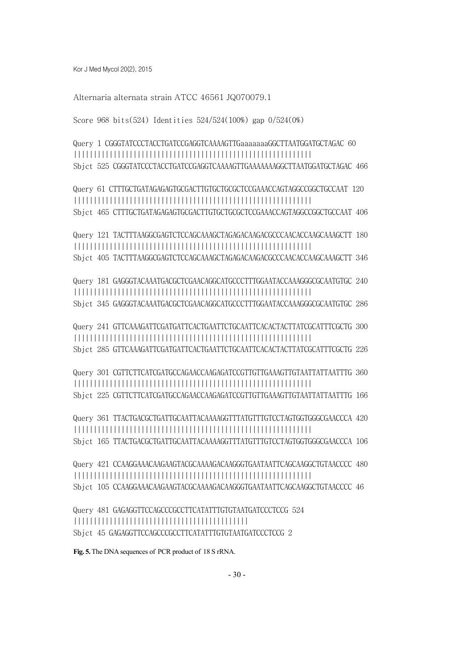Kor J Med Mycol 20(2), 2015

Alternaria alternata strain ATCC 46561 JQ070079.1

Score 968 bits(524) Identities 524/524(100%) gap 0/524(0%)

Query 1 CGGGTATCCCTACCTGATCCGAGGTCAAAAGTTGaaaaaaaGGCTTAATGGATGCTAGAC 60 |||||||||||||||||||||||||||||||||||||||||||||||||||||||||||| Sbjct 525 CGGGTATCCCTACCTGATCCGAGGTCAAAAGTTGAAAAAAAGGCTTAATGGATGCTAGAC 466

Query 61 CTTTGCTGATAGAGAGTGCGACTTGTGCTGCGCTCCGAAACCAGTAGGCCGGCTGCCAAT 120 |||||||||||||||||||||||||||||||||||||||||||||||||||||||||||| Sbjct 465 CTTTGCTGATAGAGAGTGCGACTTGTGCTGCGCTCCGAAACCAGTAGGCCGGCTGCCAAT 406

Query 121 TACTTTAAGGCGAGTCTCCAGCAAAGCTAGAGACAAGACGCCCAACACCAAGCAAAGCTT 180 |||||||||||||||||||||||||||||||||||||||||||||||||||||||||||| Sbjct 405 TACTTTAAGGCGAGTCTCCAGCAAAGCTAGAGACAAGACGCCCAACACCAAGCAAAGCTT 346

Query 181 GAGGGTACAAATGACGCTCGAACAGGCATGCCCTTTGGAATACCAAAGGGCGCAATGTGC 240 |||||||||||||||||||||||||||||||||||||||||||||||||||||||||||| Sbjct 345 GAGGGTACAAATGACGCTCGAACAGGCATGCCCTTTGGAATACCAAAGGGCGCAATGTGC 286

Query 241 GTTCAAAGATTCGATGATTCACTGAATTCTGCAATTCACACTACTTATCGCATTTCGCTG 300 |||||||||||||||||||||||||||||||||||||||||||||||||||||||||||| Sbjct 285 GTTCAAAGATTCGATGATTCACTGAATTCTGCAATTCACACTACTTATCGCATTTCGCTG 226

Query 301 CGTTCTTCATCGATGCCAGAACCAAGAGATCCGTTGTTGAAAGTTGTAATTATTAATTTG 360 |||||||||||||||||||||||||||||||||||||||||||||||||||||||||||| Sbjct 225 CGTTCTTCATCGATGCCAGAACCAAGAGATCCGTTGTTGAAAGTTGTAATTATTAATTTG 166

Query 361 TTACTGACGCTGATTGCAATTACAAAAGGTTTATGTTTGTCCTAGTGGTGGGCGAACCCA 420 |||||||||||||||||||||||||||||||||||||||||||||||||||||||||||| Sbict 165 TTACTGACGCTGATTGCAATTACAAAAGGTTTATGTTTGTCCTAGTGGTGGGCGAACCCA 106

Query 421 CCAAGGAAACAAGAAGTACGCAAAAGACAAGGGTGAATAATTCAGCAAGGCTGTAACCCC 480 |||||||||||||||||||||||||||||||||||||||||||||||||||||||||||| Sbjct 105 CCAAGGAAACAAGAAGTACGCAAAAGACAAGGGTGAATAATTCAGCAAGGCTGTAACCCC 46

Query 481 GAGAGGTTCCAGCCCGCCTTCATATTTGTGTAATGATCCCTCCG 524 |||||||||||||||||||||||||||||||||||||||||||| Sbjct 45 GAGAGGTTCCAGCCCGCCTTCATATTTGTGTAATGATCCCTCCG 2

**Fig. 5.** The DNA sequences of PCR product of 18 S rRNA.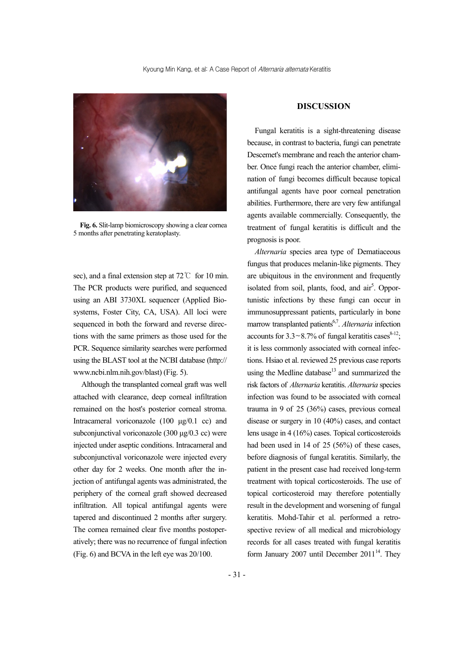

**Fig. 6.** Slit-lamp biomicroscopy showing a clear cornea 5 months after penetrating keratoplasty.

sec), and a final extension step at 72℃ for 10 min. The PCR products were purified, and sequenced using an ABI 3730XL sequencer (Applied Biosystems, Foster City, CA, USA). All loci were sequenced in both the forward and reverse directions with the same primers as those used for the PCR. Sequence similarity searches were performed using the BLAST tool at the NCBI database (http:// www.ncbi.nlm.nih.gov/blast) (Fig. 5).

Although the transplanted corneal graft was well attached with clearance, deep corneal infiltration remained on the host's posterior corneal stroma. Intracameral voriconazole (100 μg/0.1 cc) and subconjunctival voriconazole (300 μg/0.3 cc) were injected under aseptic conditions. Intracameral and subconjunctival voriconazole were injected every other day for 2 weeks. One month after the injection of antifungal agents was administrated, the periphery of the corneal graft showed decreased infiltration. All topical antifungal agents were tapered and discontinued 2 months after surgery. The cornea remained clear five months postoperatively; there was no recurrence of fungal infection (Fig. 6) and BCVA in the left eye was 20/100.

## **DISCUSSION**

Fungal keratitis is a sight-threatening disease because, in contrast to bacteria, fungi can penetrate Descemet's membrane and reach the anterior chamber. Once fungi reach the anterior chamber, elimination of fungi becomes difficult because topical antifungal agents have poor corneal penetration abilities. Furthermore, there are very few antifungal agents available commercially. Consequently, the treatment of fungal keratitis is difficult and the prognosis is poor.

*Alternaria* species area type of Dematiaceous fungus that produces melanin-like pigments. They are ubiquitous in the environment and frequently isolated from soil, plants, food, and air<sup>5</sup>. Opportunistic infections by these fungi can occur in immunosuppressant patients, particularly in bone marrow transplanted patients<sup>6,7</sup>. *Alternaria* infection accounts for  $3.3 \sim 8.7\%$  of fungal keratitis cases<sup>8-12</sup>; it is less commonly associated with corneal infections. Hsiao et al. reviewed 25 previous case reports using the Medline database $13$  and summarized the risk factors of *Alternaria* keratitis. *Alternaria* species infection was found to be associated with corneal trauma in 9 of 25 (36%) cases, previous corneal disease or surgery in 10 (40%) cases, and contact lens usage in 4 (16%) cases. Topical corticosteroids had been used in 14 of 25 (56%) of these cases, before diagnosis of fungal keratitis. Similarly, the patient in the present case had received long-term treatment with topical corticosteroids. The use of topical corticosteroid may therefore potentially result in the development and worsening of fungal keratitis. Mohd-Tahir et al. performed a retrospective review of all medical and microbiology records for all cases treated with fungal keratitis form January 2007 until December  $2011^{14}$ . They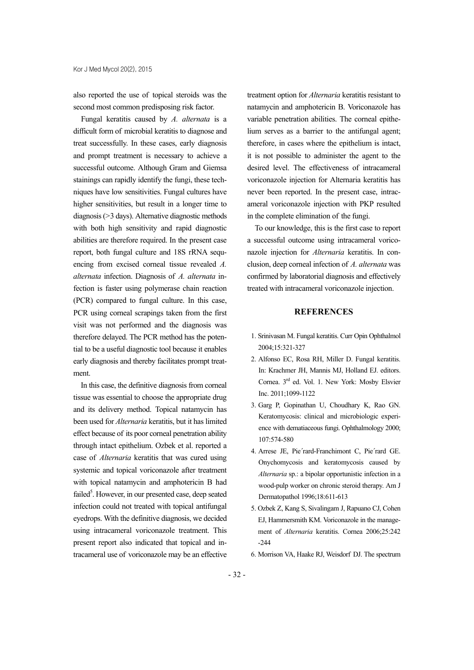also reported the use of topical steroids was the second most common predisposing risk factor.

Fungal keratitis caused by *A. alternata* is a difficult form of microbial keratitis to diagnose and treat successfully. In these cases, early diagnosis and prompt treatment is necessary to achieve a successful outcome. Although Gram and Giemsa stainings can rapidly identify the fungi, these techniques have low sensitivities. Fungal cultures have higher sensitivities, but result in a longer time to diagnosis (>3 days). Alternative diagnostic methods with both high sensitivity and rapid diagnostic abilities are therefore required. In the present case report, both fungal culture and 18S rRNA sequencing from excised corneal tissue revealed *A. alternata* infection. Diagnosis of *A. alternata* infection is faster using polymerase chain reaction (PCR) compared to fungal culture. In this case, PCR using corneal scrapings taken from the first visit was not performed and the diagnosis was therefore delayed. The PCR method has the potential to be a useful diagnostic tool because it enables early diagnosis and thereby facilitates prompt treatment.

In this case, the definitive diagnosis from corneal tissue was essential to choose the appropriate drug and its delivery method. Topical natamycin has been used for *Alternaria* keratitis, but it has limited effect because of its poor corneal penetration ability through intact epithelium. Ozbek et al. reported a case of *Alternaria* keratitis that was cured using systemic and topical voriconazole after treatment with topical natamycin and amphotericin B had failed<sup>5</sup>. However, in our presented case, deep seated infection could not treated with topical antifungal eyedrops. With the definitive diagnosis, we decided using intracameral voriconazole treatment. This present report also indicated that topical and intracameral use of voriconazole may be an effective

treatment option for *Alternaria* keratitis resistant to natamycin and amphotericin B. Voriconazole has variable penetration abilities. The corneal epithelium serves as a barrier to the antifungal agent; therefore, in cases where the epithelium is intact, it is not possible to administer the agent to the desired level. The effectiveness of intracameral voriconazole injection for Alternaria keratitis has never been reported. In the present case, intracameral voriconazole injection with PKP resulted in the complete elimination of the fungi.

To our knowledge, this is the first case to report a successful outcome using intracameral voriconazole injection for *Alternaria* keratitis. In conclusion, deep corneal infection of *A. alternata* was confirmed by laboratorial diagnosis and effectively treated with intracameral voriconazole injection.

## **REFERENCES**

- 1. Srinivasan M. Fungal keratitis. Curr Opin Ophthalmol 2004;15:321-327
- 2. Alfonso EC, Rosa RH, Miller D. Fungal keratitis. In: Krachmer JH, Mannis MJ, Holland EJ. editors. Cornea. 3rd ed. Vol. 1. New York: Mosby Elsvier Inc. 2011;1099-1122
- 3. Garg P, Gopinathan U, Choudhary K, Rao GN. Keratomycosis: clinical and microbiologic experience with dematiaceous fungi. Ophthalmology 2000; 107:574-580
- 4. Arrese JE, Pie´rard-Franchimont C, Pie´rard GE. Onychomycosis and keratomycosis caused by *Alternaria* sp.: a bipolar opportunistic infection in a wood-pulp worker on chronic steroid therapy. Am J Dermatopathol 1996;18:611-613
- 5. Ozbek Z, Kang S, Sivalingam J, Rapuano CJ, Cohen EJ, Hammersmith KM. Voriconazole in the management of *Alternaria* keratitis. Cornea 2006;25:242 -244
- 6. Morrison VA, Haake RJ, Weisdorf DJ. The spectrum